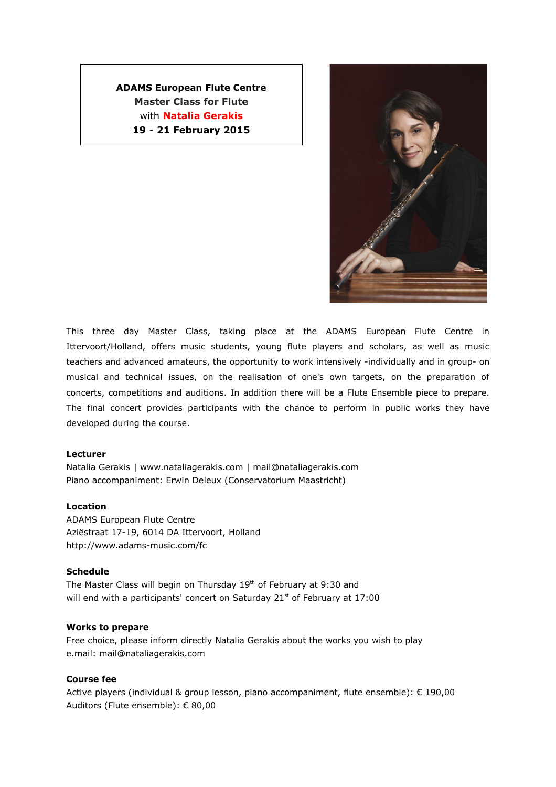# **ADAMS European Flute Centre Master Class for Flute** with **Natalia Gerakis 19** - **21 February 2015**



This three day Master Class, taking place at the ADAMS European Flute Centre in Ittervoort/Holland, offers music students, young flute players and scholars, as well as music teachers and advanced amateurs, the opportunity to work intensively -individually and in group- on musical and technical issues, on the realisation of one's own targets, on the preparation of concerts, competitions and auditions. In addition there will be a Flute Ensemble piece to prepare. The final concert provides participants with the chance to perform in public works they have developed during the course.

# **Lecturer**

Natalia Gerakis | www.nataliagerakis.com | mail@nataliagerakis.com Piano accompaniment: Erwin Deleux (Conservatorium Maastricht)

# **Location**

ADAMS European Flute Centre Aziëstraat 17-19, 6014 DA Ittervoort, Holland http://www.adams-music.com/fc

# **Schedule**

The Master Class will begin on Thursday 19<sup>th</sup> of February at 9:30 and will end with a participants' concert on Saturday 21<sup>st</sup> of February at 17:00

### **Works to prepare**

Free choice, please inform directly Natalia Gerakis about the works you wish to play e.mail: mail@nataliagerakis.com

# **Course fee**

Active players (individual & group lesson, piano accompaniment, flute ensemble): € 190,00 Auditors (Flute ensemble): € 80,00